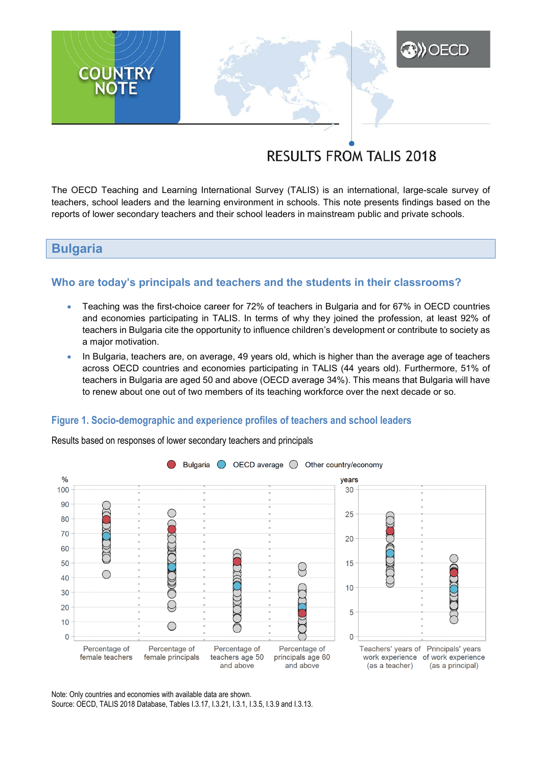# **RESULTS FROM TALIS 2018**

**A)** OECD

The OECD Teaching and Learning International Survey (TALIS) is an international, large-scale survey of teachers, school leaders and the learning environment in schools. This note presents findings based on the reports of lower secondary teachers and their school leaders in mainstream public and private schools.

# **Bulgaria**

**COUNTRY**<br>NOTE

# **Who are today's principals and teachers and the students in their classrooms?**

- Teaching was the first-choice career for 72% of teachers in Bulgaria and for 67% in OECD countries and economies participating in TALIS. In terms of why they joined the profession, at least 92% of teachers in Bulgaria cite the opportunity to influence children's development or contribute to society as a major motivation.
- In Bulgaria, teachers are, on average, 49 years old, which is higher than the average age of teachers across OECD countries and economies participating in TALIS (44 years old). Furthermore, 51% of teachers in Bulgaria are aged 50 and above (OECD average 34%). This means that Bulgaria will have to renew about one out of two members of its teaching workforce over the next decade or so.

### **Figure 1. Socio-demographic and experience profiles of teachers and school leaders**



Results based on responses of lower secondary teachers and principals

Note: Only countries and economies with available data are shown. Source: OECD, TALIS 2018 Database, Tables I.3.17, I.3.21, I.3.1, I.3.5, I.3.9 and I.3.13.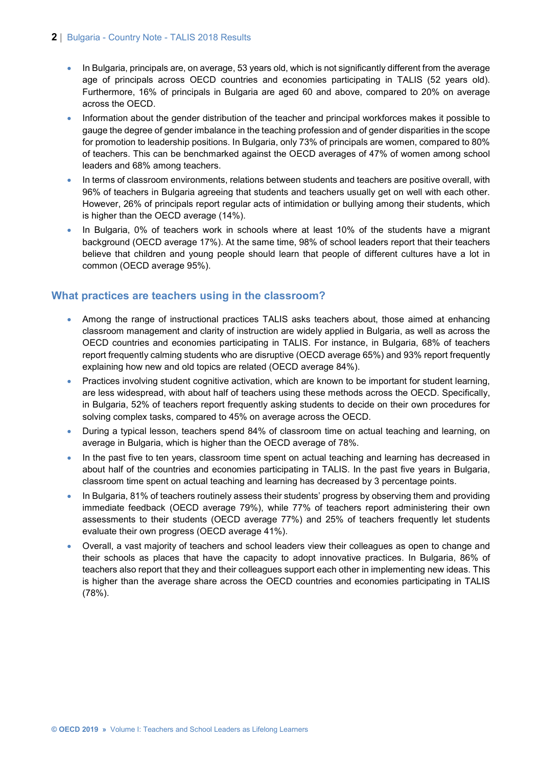#### **2** | Bulgaria - Country Note - TALIS 2018 Results

- In Bulgaria, principals are, on average, 53 years old, which is not significantly different from the average age of principals across OECD countries and economies participating in TALIS (52 years old). Furthermore, 16% of principals in Bulgaria are aged 60 and above, compared to 20% on average across the OECD.
- Information about the gender distribution of the teacher and principal workforces makes it possible to gauge the degree of gender imbalance in the teaching profession and of gender disparities in the scope for promotion to leadership positions. In Bulgaria, only 73% of principals are women, compared to 80% of teachers. This can be benchmarked against the OECD averages of 47% of women among school leaders and 68% among teachers.
- In terms of classroom environments, relations between students and teachers are positive overall, with 96% of teachers in Bulgaria agreeing that students and teachers usually get on well with each other. However, 26% of principals report regular acts of intimidation or bullying among their students, which is higher than the OECD average (14%).
- In Bulgaria, 0% of teachers work in schools where at least 10% of the students have a migrant background (OECD average 17%). At the same time, 98% of school leaders report that their teachers believe that children and young people should learn that people of different cultures have a lot in common (OECD average 95%).

# **What practices are teachers using in the classroom?**

- Among the range of instructional practices TALIS asks teachers about, those aimed at enhancing classroom management and clarity of instruction are widely applied in Bulgaria, as well as across the OECD countries and economies participating in TALIS. For instance, in Bulgaria, 68% of teachers report frequently calming students who are disruptive (OECD average 65%) and 93% report frequently explaining how new and old topics are related (OECD average 84%).
- Practices involving student cognitive activation, which are known to be important for student learning, are less widespread, with about half of teachers using these methods across the OECD. Specifically, in Bulgaria, 52% of teachers report frequently asking students to decide on their own procedures for solving complex tasks, compared to 45% on average across the OECD.
- During a typical lesson, teachers spend 84% of classroom time on actual teaching and learning, on average in Bulgaria, which is higher than the OECD average of 78%.
- In the past five to ten years, classroom time spent on actual teaching and learning has decreased in about half of the countries and economies participating in TALIS. In the past five years in Bulgaria, classroom time spent on actual teaching and learning has decreased by 3 percentage points.
- In Bulgaria, 81% of teachers routinely assess their students' progress by observing them and providing immediate feedback (OECD average 79%), while 77% of teachers report administering their own assessments to their students (OECD average 77%) and 25% of teachers frequently let students evaluate their own progress (OECD average 41%).
- Overall, a vast majority of teachers and school leaders view their colleagues as open to change and their schools as places that have the capacity to adopt innovative practices. In Bulgaria, 86% of teachers also report that they and their colleagues support each other in implementing new ideas. This is higher than the average share across the OECD countries and economies participating in TALIS (78%).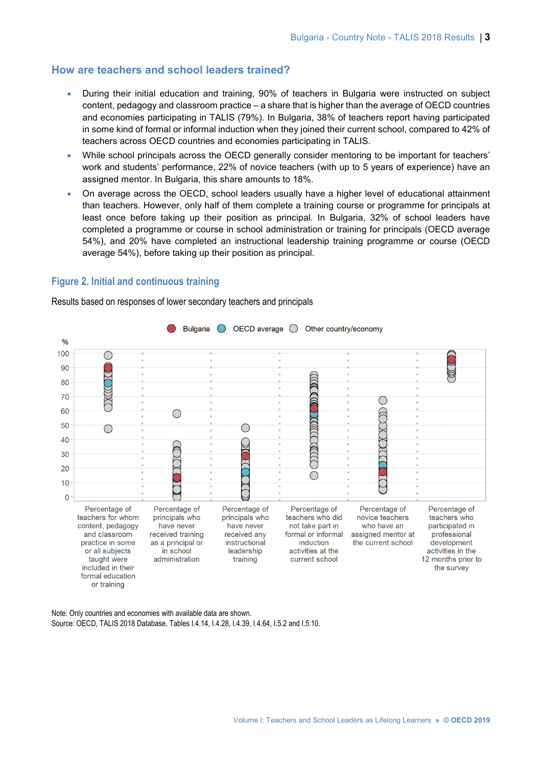#### **How are teachers and school leaders trained?**

- During their initial education and training, 90% of teachers in Bulgaria were instructed on subject content, pedagogy and classroom practice – a share that is higher than the average of OECD countries and economies participating in TALIS (79%). In Bulgaria, 38% of teachers report having participated in some kind of formal or informal induction when they joined their current school, compared to 42% of teachers across OECD countries and economies participating in TALIS.
- While school principals across the OECD generally consider mentoring to be important for teachers' work and students' performance, 22% of novice teachers (with up to 5 years of experience) have an assigned mentor. In Bulgaria, this share amounts to 18%.
- On average across the OECD, school leaders usually have a higher level of educational attainment than teachers. However, only half of them complete a training course or programme for principals at least once before taking up their position as principal. In Bulgaria, 32% of school leaders have completed a programme or course in school administration or training for principals (OECD average 54%), and 20% have completed an instructional leadership training programme or course (OECD average 54%), before taking up their position as principal.

#### **Figure 2. Initial and continuous training**

Results based on responses of lower secondary teachers and principals



Note: Only countries and economies with available data are shown. Source: OECD, TALIS 2018 Database, Tables I.4.14, I.4.28, I.4.39, I.4.64, I.5.2 and I.5.10.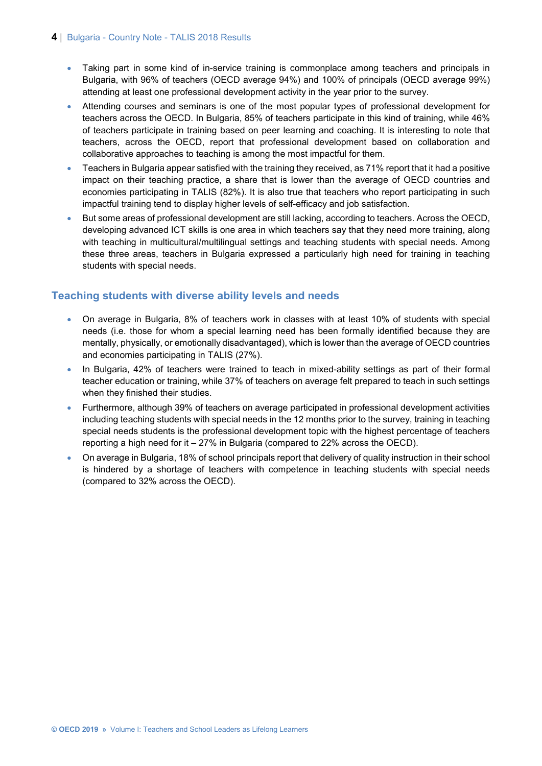#### **4** | Bulgaria - Country Note - TALIS 2018 Results

- Taking part in some kind of in-service training is commonplace among teachers and principals in Bulgaria, with 96% of teachers (OECD average 94%) and 100% of principals (OECD average 99%) attending at least one professional development activity in the year prior to the survey.
- Attending courses and seminars is one of the most popular types of professional development for teachers across the OECD. In Bulgaria, 85% of teachers participate in this kind of training, while 46% of teachers participate in training based on peer learning and coaching. It is interesting to note that teachers, across the OECD, report that professional development based on collaboration and collaborative approaches to teaching is among the most impactful for them.
- Teachers in Bulgaria appear satisfied with the training they received, as 71% report that it had a positive impact on their teaching practice, a share that is lower than the average of OECD countries and economies participating in TALIS (82%). It is also true that teachers who report participating in such impactful training tend to display higher levels of self-efficacy and job satisfaction.
- But some areas of professional development are still lacking, according to teachers. Across the OECD, developing advanced ICT skills is one area in which teachers say that they need more training, along with teaching in multicultural/multilingual settings and teaching students with special needs. Among these three areas, teachers in Bulgaria expressed a particularly high need for training in teaching students with special needs.

# **Teaching students with diverse ability levels and needs**

- On average in Bulgaria, 8% of teachers work in classes with at least 10% of students with special needs (i.e. those for whom a special learning need has been formally identified because they are mentally, physically, or emotionally disadvantaged), which is lower than the average of OECD countries and economies participating in TALIS (27%).
- In Bulgaria, 42% of teachers were trained to teach in mixed-ability settings as part of their formal teacher education or training, while 37% of teachers on average felt prepared to teach in such settings when they finished their studies.
- Furthermore, although 39% of teachers on average participated in professional development activities including teaching students with special needs in the 12 months prior to the survey, training in teaching special needs students is the professional development topic with the highest percentage of teachers reporting a high need for it – 27% in Bulgaria (compared to 22% across the OECD).
- On average in Bulgaria, 18% of school principals report that delivery of quality instruction in their school is hindered by a shortage of teachers with competence in teaching students with special needs (compared to 32% across the OECD).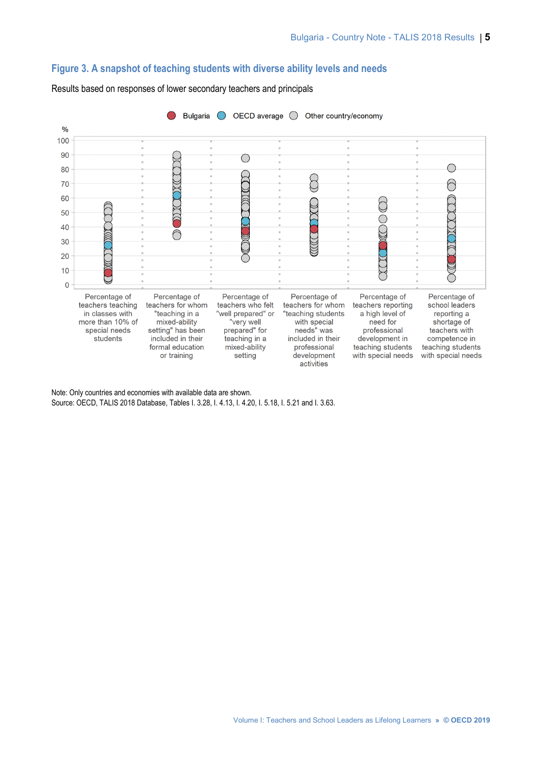#### **Figure 3. A snapshot of teaching students with diverse ability levels and needs**



Results based on responses of lower secondary teachers and principals

Note: Only countries and economies with available data are shown. Source: OECD, TALIS 2018 Database, Tables I. 3.28, I. 4.13, I. 4.20, I. 5.18, I. 5.21 and I. 3.63.